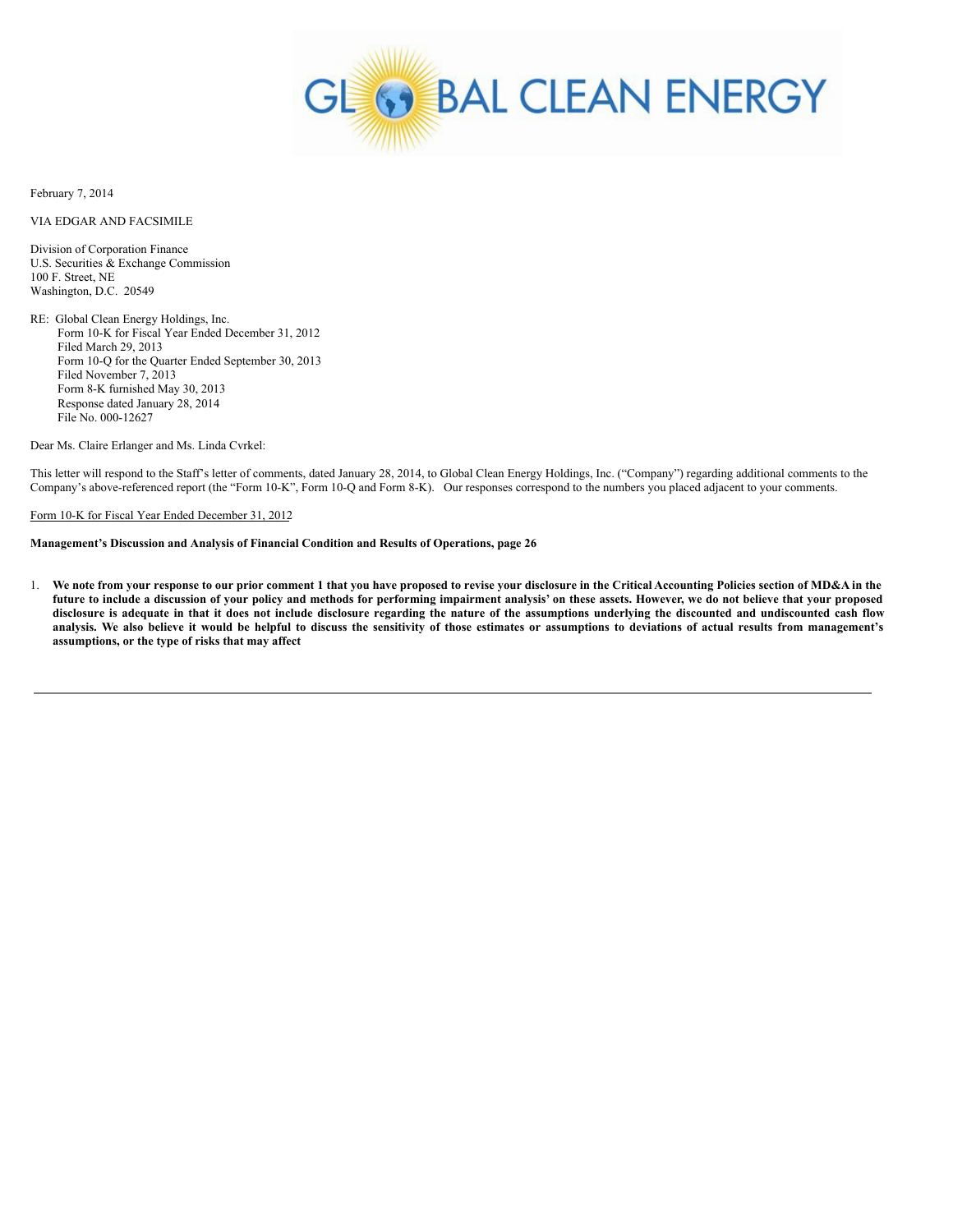

February 7, 2014

VIA EDGAR AND FACSIMILE

Division of Corporation Finance U.S. Securities & Exchange Commission 100 F. Street, NE Washington, D.C. 20549

RE: Global Clean Energy Holdings, Inc. Form 10-K for Fiscal Year Ended December 31, 2012 Filed March 29, 2013 Form 10-Q for the Quarter Ended September 30, 2013 Filed November 7, 2013 Form 8-K furnished May 30, 2013 Response dated January 28, 2014 File No. 000-12627

Dear Ms. Claire Erlanger and Ms. Linda Cvrkel:

This letter will respond to the Staff's letter of comments, dated January 28, 2014, to Global Clean Energy Holdings, Inc. ("Company") regarding additional comments to the Company's above-referenced report (the "Form 10-K", Form 10-Q and Form 8-K). Our responses correspond to the numbers you placed adjacent to your comments.

Form 10-K for Fiscal Year Ended December 31, 2012

# **Management's Discussion and Analysis of Financial Condition and Results of Operations, page 26**

1. We note from your response to our prior comment 1 that you have proposed to revise your disclosure in the Critical Accounting Policies section of MD&A in the future to include a discussion of your policy and methods for performing impairment analysis' on these assets. However, we do not believe that your proposed disclosure is adequate in that it does not include disclosure regarding the nature of the assumptions underlying the discounted and undiscounted cash flow analysis. We also believe it would be helpful to discuss the sensitivity of those estimates or assumptions to deviations of actual results from management's **assumptions, or the type of risks that may affect**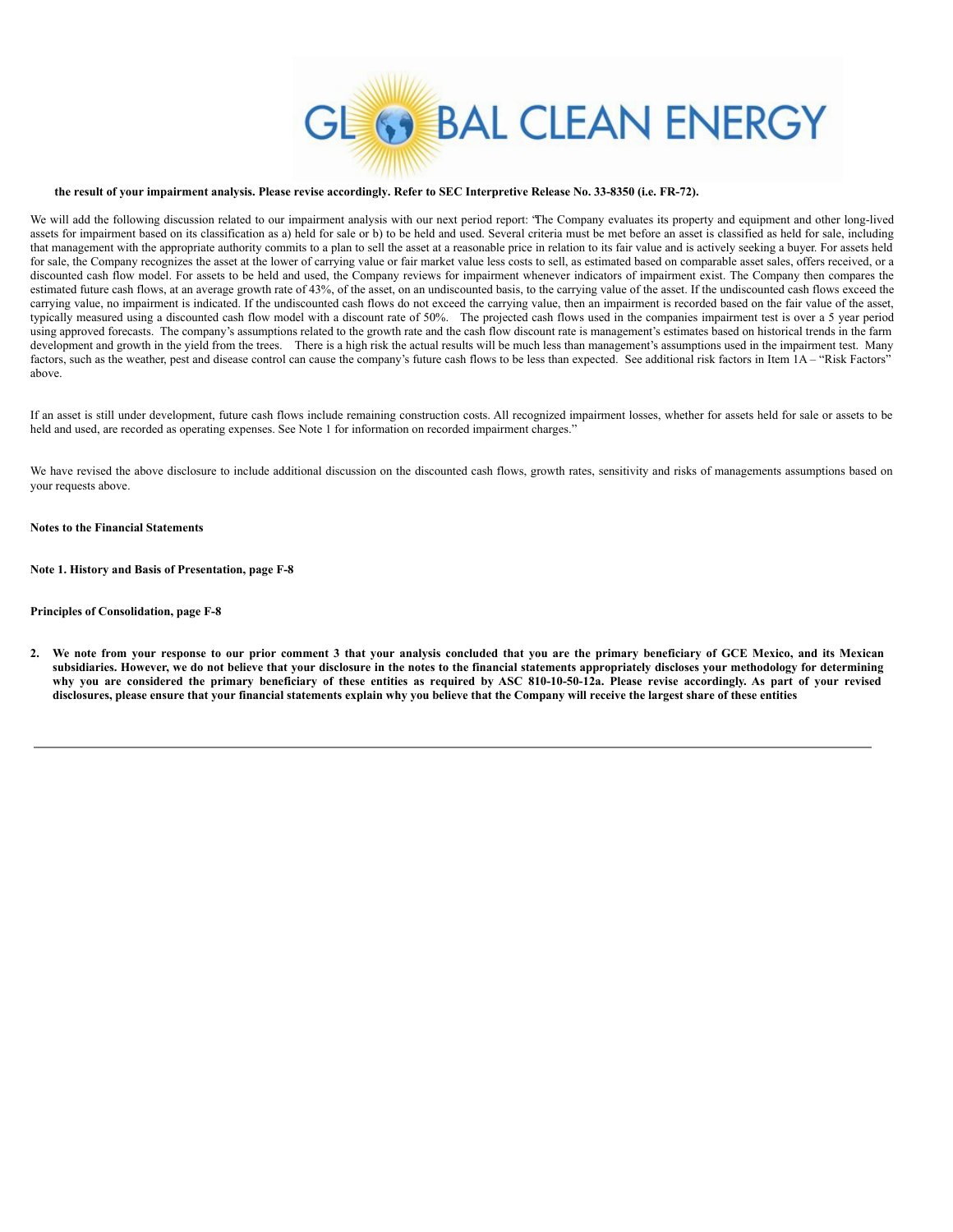

#### the result of your impairment analysis. Please revise accordingly. Refer to SEC Interpretive Release No. 33-8350 (i.e. FR-72).

We will add the following discussion related to our impairment analysis with our next period report: "The Company evaluates its property and equipment and other long-lived assets for impairment based on its classification as a) held for sale or b) to be held and used. Several criteria must be met before an asset is classified as held for sale, including that management with the appropriate authority commits to a plan to sell the asset at a reasonable price in relation to its fair value and is actively seeking a buyer. For assets held for sale, the Company recognizes the asset at the lower of carrying value or fair market value less costs to sell, as estimated based on comparable asset sales, offers received, or a discounted cash flow model. For assets to be held and used, the Company reviews for impairment whenever indicators of impairment exist. The Company then compares the estimated future cash flows, at an average growth rate of 43%, of the asset, on an undiscounted basis, to the carrying value of the asset. If the undiscounted cash flows exceed the carrying value, no impairment is indicated. If the undiscounted cash flows do not exceed the carrying value, then an impairment is recorded based on the fair value of the asset, typically measured using a discounted cash flow model with a discount rate of 50%. The projected cash flows used in the companies impairment test is over a 5 year period using approved forecasts. The company's assumptions related to the growth rate and the cash flow discount rate is management's estimates based on historical trends in the farm development and growth in the yield from the trees. There is a high risk the actual results will be much less than management's assumptions used in the impairment test. Many factors, such as the weather, pest and disease control can cause the company's future cash flows to be less than expected. See additional risk factors in Item 1A - "Risk Factors" above.

If an asset is still under development, future cash flows include remaining construction costs. All recognized impairment losses, whether for assets held for sale or assets to be held and used, are recorded as operating expenses. See Note 1 for information on recorded impairment charges."

We have revised the above disclosure to include additional discussion on the discounted cash flows, growth rates, sensitivity and risks of managements assumptions based on your requests above.

## **Notes to the Financial Statements**

**Note 1. History and Basis of Presentation, page F-8**

## **Principles of Consolidation, page F-8**

2. We note from your response to our prior comment 3 that your analysis concluded that you are the primary beneficiary of GCE Mexico, and its Mexican subsidiaries. However, we do not believe that your disclosure in the notes to the financial statements appropriately discloses your methodology for determining why you are considered the primary beneficiary of these entities as required by ASC 810-10-50-12a. Please revise accordingly. As part of your revised disclosures, please ensure that your financial statements explain why you believe that the Company will receive the largest share of these entities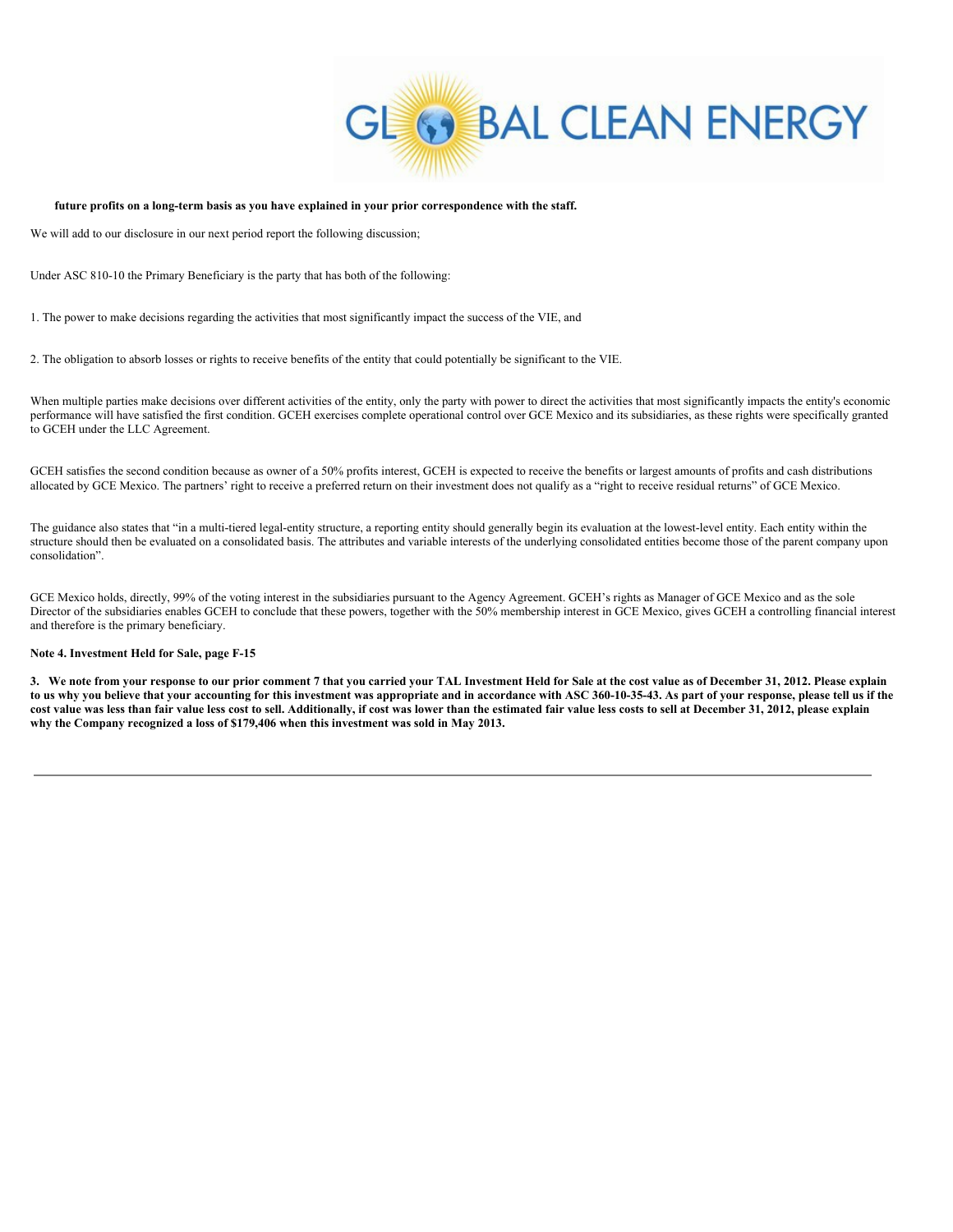

## **future profits on a long-term basis as you have explained in your prior correspondence with the staff.**

We will add to our disclosure in our next period report the following discussion;

Under ASC 810-10 the Primary Beneficiary is the party that has both of the following:

1. The power to make decisions regarding the activities that most significantly impact the success of the VIE, and

2. The obligation to absorb losses or rights to receive benefits of the entity that could potentially be significant to the VIE.

When multiple parties make decisions over different activities of the entity, only the party with power to direct the activities that most significantly impacts the entity's economic performance will have satisfied the first condition. GCEH exercises complete operational control over GCE Mexico and its subsidiaries, as these rights were specifically granted to GCEH under the LLC Agreement.

GCEH satisfies the second condition because as owner of a 50% profits interest, GCEH is expected to receive the benefits or largest amounts of profits and cash distributions allocated by GCE Mexico. The partners' right to receive a preferred return on their investment does not qualify as a "right to receive residual returns" of GCE Mexico.

The guidance also states that "in a multi-tiered legal-entity structure, a reporting entity should generally begin its evaluation at the lowest-level entity. Each entity within the structure should then be evaluated on a consolidated basis. The attributes and variable interests of the underlying consolidated entities become those of the parent company upon consolidation".

GCE Mexico holds, directly, 99% of the voting interest in the subsidiaries pursuant to the Agency Agreement. GCEH's rights as Manager of GCE Mexico and as the sole Director of the subsidiaries enables GCEH to conclude that these powers, together with the 50% membership interest in GCE Mexico, gives GCEH a controlling financial interest and therefore is the primary beneficiary.

### **Note 4. Investment Held for Sale, page F-15**

3. We note from your response to our prior comment 7 that you carried your TAL Investment Held for Sale at the cost value as of December 31, 2012. Please explain to us why you believe that your accounting for this investment was appropriate and in accordance with ASC 360-10-35-43. As part of your response, please tell us if the cost value was less than fair value less cost to sell. Additionally, if cost was lower than the estimated fair value less costs to sell at December 31, 2012, please explain **why the Company recognized a loss of \$179,406 when this investment was sold in May 2013.**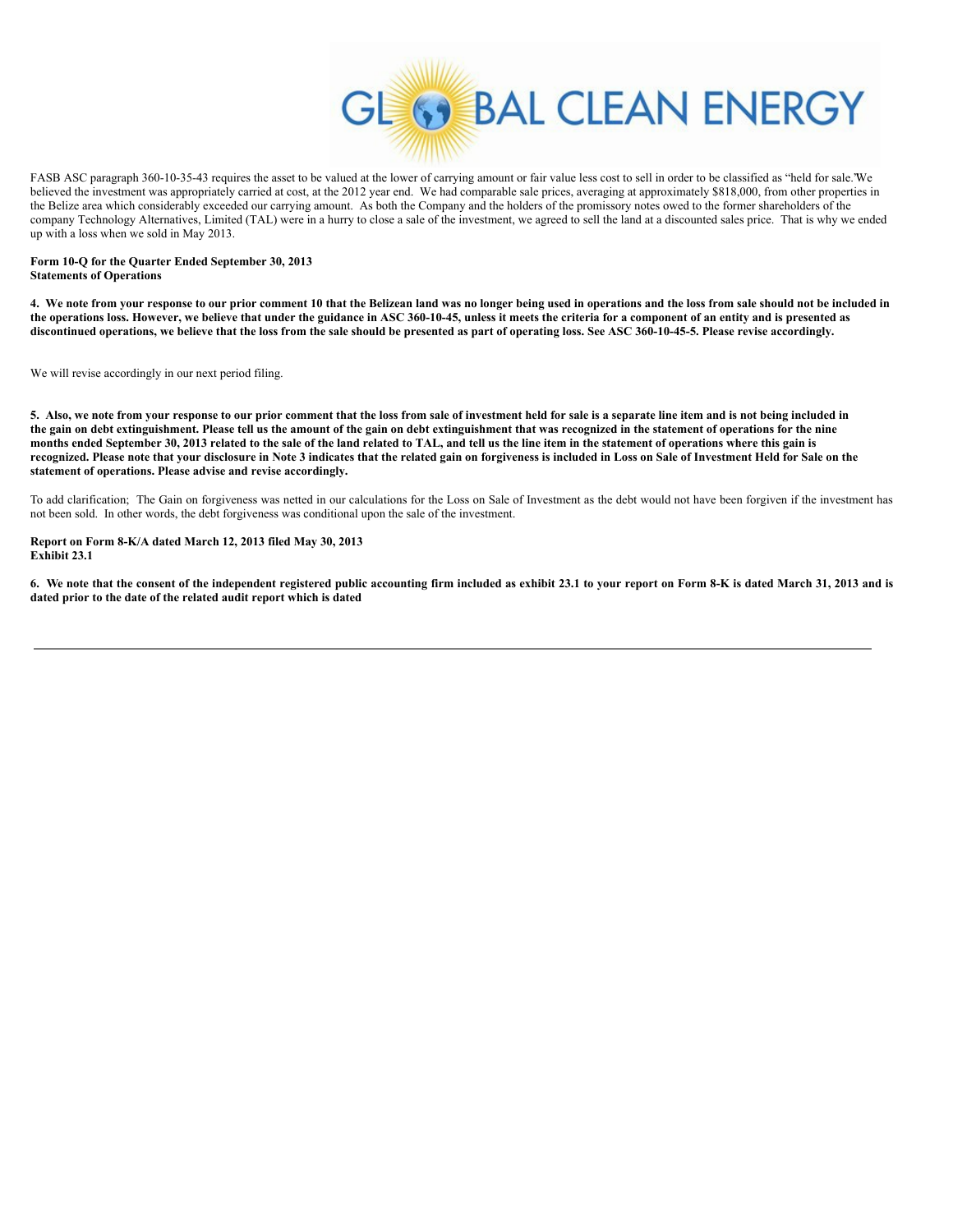

FASB ASC paragraph 360-10-35-43 requires the asset to be valued at the lower of carrying amount or fair value less cost to sell in order to be classified as "held for sale."We believed the investment was appropriately carried at cost, at the 2012 year end. We had comparable sale prices, averaging at approximately \$818,000, from other properties in the Belize area which considerably exceeded our carrying amount. As both the Company and the holders of the promissory notes owed to the former shareholders of the company Technology Alternatives, Limited (TAL) were in a hurry to close a sale of the investment, we agreed to sell the land at a discounted sales price. That is why we ended up with a loss when we sold in May 2013.

#### **Form 10-Q for the Quarter Ended September 30, 2013 Statements of Operations**

4. We note from your response to our prior comment 10 that the Belizean land was no longer being used in operations and the loss from sale should not be included in the operations loss. However, we believe that under the guidance in ASC 360-10-45, unless it meets the criteria for a component of an entity and is presented as discontinued operations, we believe that the loss from the sale should be presented as part of operating loss. See ASC 360-10-45-5. Please revise accordingly.

We will revise accordingly in our next period filing.

5. Also, we note from your response to our prior comment that the loss from sale of investment held for sale is a separate line item and is not being included in the gain on debt extinguishment. Please tell us the amount of the gain on debt extinguishment that was recognized in the statement of operations for the nine months ended September 30, 2013 related to the sale of the land related to TAL, and tell us the line item in the statement of operations where this gain is recognized. Please note that your disclosure in Note 3 indicates that the related gain on forgiveness is included in Loss on Sale of Investment Held for Sale on the **statement of operations. Please advise and revise accordingly.**

To add clarification; The Gain on forgiveness was netted in our calculations for the Loss on Sale of Investment as the debt would not have been forgiven if the investment has not been sold. In other words, the debt forgiveness was conditional upon the sale of the investment.

# **Report on Form 8-K/A dated March 12, 2013 filed May 30, 2013 Exhibit 23.1**

6. We note that the consent of the independent registered public accounting firm included as exhibit 23.1 to your report on Form 8-K is dated March 31, 2013 and is **dated prior to the date of the related audit report which is dated**